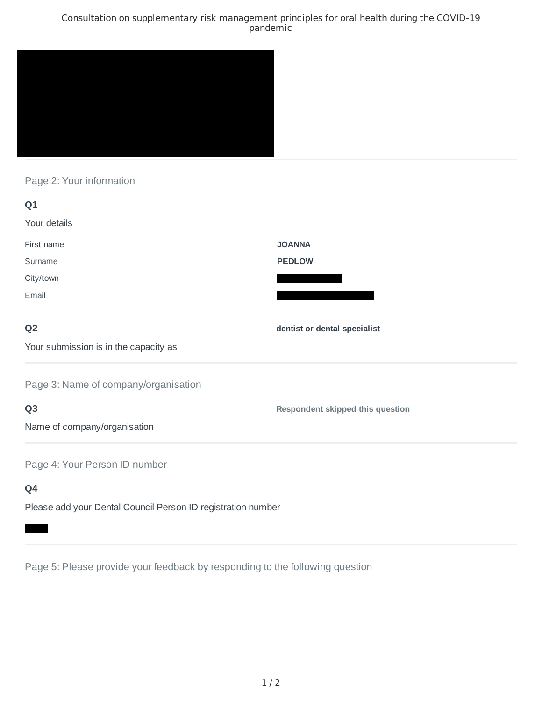### Consultation on supplementary risk management principles for oral health during the COVID-19 pandemic



## Page 2: Your information

| Q1                                                           |                                         |
|--------------------------------------------------------------|-----------------------------------------|
| Your details                                                 |                                         |
| First name                                                   | <b>JOANNA</b>                           |
| Surname                                                      | <b>PEDLOW</b>                           |
| City/town                                                    |                                         |
| Email                                                        |                                         |
| Q <sub>2</sub>                                               | dentist or dental specialist            |
| Your submission is in the capacity as                        |                                         |
| Page 3: Name of company/organisation                         |                                         |
| Q <sub>3</sub>                                               | <b>Respondent skipped this question</b> |
| Name of company/organisation                                 |                                         |
| Page 4: Your Person ID number                                |                                         |
| Q4                                                           |                                         |
| Please add your Dental Council Person ID registration number |                                         |

Page 5: Please provide your feedback by responding to the following question